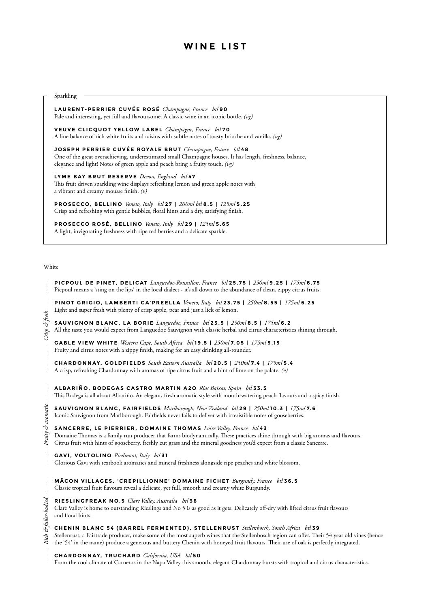| <b>Sparkling</b>                                                                                                                                                                                                                                        |
|---------------------------------------------------------------------------------------------------------------------------------------------------------------------------------------------------------------------------------------------------------|
|                                                                                                                                                                                                                                                         |
| LAURENT-PERRIER CUVÉE ROSÉ Champagne, France btl 90<br>Pale and interesting, yet full and flavoursome. A classic wine in an iconic bottle. (vg)                                                                                                         |
| VEUVE CLICQUOT YELLOW LABEL Champagne, France btl70<br>A fine balance of rich white fruits and raisins with subtle notes of toasty brioche and vanilla. (vg)                                                                                            |
| JOSEPH PERRIER CUVÉE ROYALE BRUT Champagne, France btl 48<br>One of the great overachieving, underestimated small Champagne houses. It has length, freshness, balance,<br>elegance and light! Notes of green apple and peach bring a fruity touch. (vg) |
| LYME BAY BRUT RESERVE Devon, England btl 47<br>This fruit driven sparkling wine displays refreshing lemon and green apple notes with<br>a vibrant and creamy mousse finish. $(v)$                                                                       |
| PROSECCO, BELLINO Veneto, Italy btl 27   200ml btl 8.5   125ml 5.25<br>Crisp and refreshing with gentle bubbles, floral hints and a dry, satisfying finish.                                                                                             |
| PROSECCO ROSÉ, BELLINO Veneto, Italy btl 29   125ml 5.65<br>A light, invigorating freshness with ripe red berries and a delicate sparkle.                                                                                                               |

# **WINE LIST**

### White

**PICPOUL DE PINET, DELICAT** *Languedoc-Roussillon, France btl* **25.75 |** *250ml* **9.25 |** *175ml* **6.75** Picpoul means a 'sting on the lips' in the local dialect - it's all down to the abundance of clean, zippy citrus fruits.

**PINOT GRIGIO, LAMBERTI CA'PREELLA** *Veneto, Italy btl* **23.75 |** *250ml* **8.55 |** *175ml* **6.25** Light and super fresh with plenty of crisp apple, pear and just a lick of lemon.

**SAUVIGNON BLANC, LA BORIE** *Languedoc, France btl* **23.5 |** *250ml* **8.5 |** *175ml* **6.2** All the taste you would expect from Languedoc Sauvignon with classic herbal and citrus characteristics shining through.

**GABLE VIEW WHITE** *Western Cape, South Africa btl* **19.5 |** *250ml* **7.05 |** *175ml* **5.15** Fruity and citrus notes with a zippy finish, making for an easy drinking all-rounder.

**CHARDONNAY, GOLDFIELDS** *South Eastern Australia btl* **20.5 |** *250ml* **7.4 |** *175ml* **5.4** A crisp, refreshing Chardonnay with aromas of ripe citrus fruit and a hint of lime on the palate. *(v)*

*Crisp & fresh*

**ALBARIÑO, BODEGAS CASTRO MARTIN A2O** *Rías Baixas, Spain btl* **33.5** This Bodega is all about Albariño. An elegant, fresh aromatic style with mouth-watering peach flavours and a spicy finish.

**SAUVIGNON BLANC, FAIRFIELDS** *Marlborough, New Zealand btl* **29 |** *250ml* **10.3 |** *175ml* **7.6** Iconic Sauvignon from Marlborough. Fairfields never fails to deliver with irresistible notes of gooseberries.

## **SANCERRE, LE PIERRIER, DOMAINE THOMAS** *Loire Valley, France btl* **4 3**

Domaine Thomas is a family run producer that farms biodynamically. These practices shine through with big aromas and flavours. Citrus fruit with hints of gooseberry, freshly cut grass and the mineral goodness you'd expect from a classic Sancerre.

**GAVI, VOLTOLINO** *Piedmont, Italy btl* **3 1**

Glorious Gavi with textbook aromatics and mineral freshness alongside ripe peaches and white blossom.

**MÂCON VILLAGES, 'CREPILLIONNE' DOMAINE FICHET** *Burgundy, France btl* **36.5** Classic tropical fruit flavours reveal a delicate, yet full, smooth and creamy white Burgundy.

**RIESLINGFREAK NO.5** *Clare Valley, Australia btl* **3 6** Clare Valley is home to outstanding Rieslings and No 5 is as good as it gets. Delicately off-dry with lifted citrus fruit flavours and floral hints.

**CHENIN BLANC 54 (BARREL FERMENTED), STELLENRUST** *Stellenbosch, South Africa btl* **3 9** Stellenrust, a Fairtrade producer, make some of the most superb wines that the Stellenbosch region can offer. Their 54 year old vines (hence the '54' in the name) produce a generous and buttery Chenin with honeyed fruit flavours. Their use of oak is perfectly integrated.

**CHARDONNAY, TRUCHARD** *California, USA btl* **5 0**

From the cool climate of Carneros in the Napa Valley this smooth, elegant Chardonnay bursts with tropical and citrus characteristics.